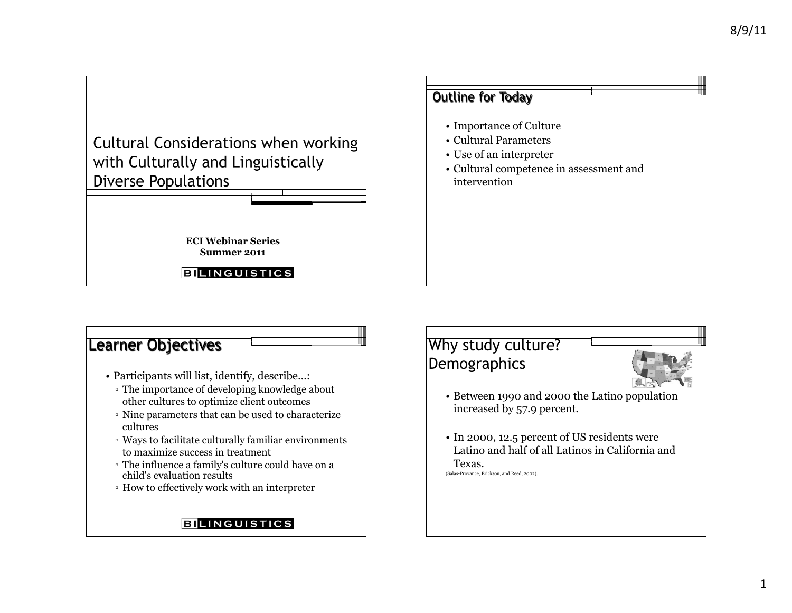**Cultural Considerations when working** with Culturally and Linguistically **Diverse Populations** 

> **ECI Webinar Series Summer 2011**

**BILINGUISTICS** 

# Outline for Today • Importance of Culture • Cultural Parameters • Use of an interpreter • Cultural competence in assessment and intervention

### Learner Objectives

- Participants will list, identify, describe…:
	- ! The importance of developing knowledge about other cultures to optimize client outcomes
	- ! Nine parameters that can be used to characterize cultures
	- ! Ways to facilitate culturally familiar environments to maximize success in treatment
	- ! The influence a family's culture could have on a child's evaluation results
	- ! How to effectively work with an interpreter

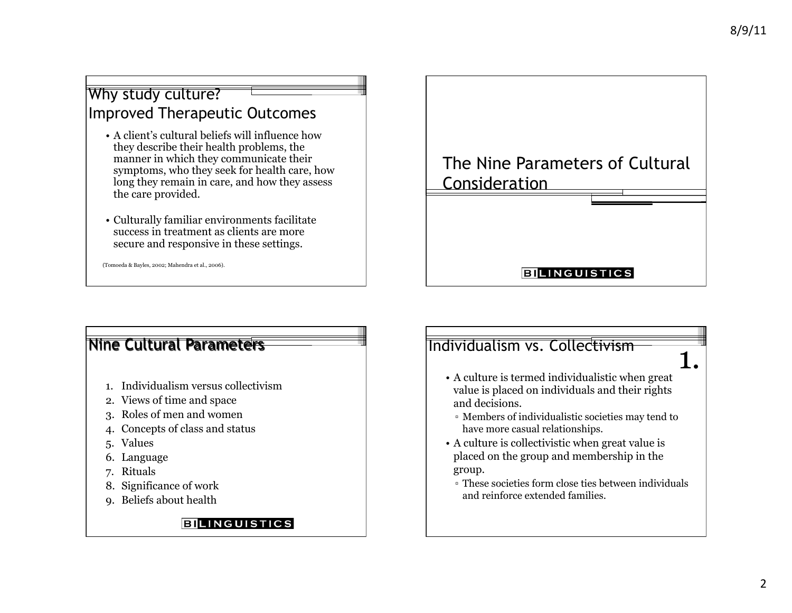# Why study culture? Improved Therapeutic Outcomes

- A client's cultural beliefs will influence how they describe their health problems, the manner in which they communicate their symptoms, who they seek for health care, how long they remain in care, and how they assess the care provided.
- Culturally familiar environments facilitate success in treatment as clients are more secure and responsive in these settings.

(Tomoeda & Bayles, 2002; Mahendra et al., 2006).

# Nine Cultural Parameters

- 1. Individualism versus collectivism
- 2. Views of time and space
- 3. Roles of men and women
- 4. Concepts of class and status
- 5. Values
- 6. Language
- 7. Rituals
- 8. Significance of work
- 9. Beliefs about health

#### **BILINGUISTICS**



#### **BILINGUISTICS**

# Individualism vs. Collectivism

- 1.
- A culture is termed individualistic when great value is placed on individuals and their rights and decisions.
- ! Members of individualistic societies may tend to have more casual relationships.
- A culture is collectivistic when great value is placed on the group and membership in the group.
- ! These societies form close ties between individuals and reinforce extended families.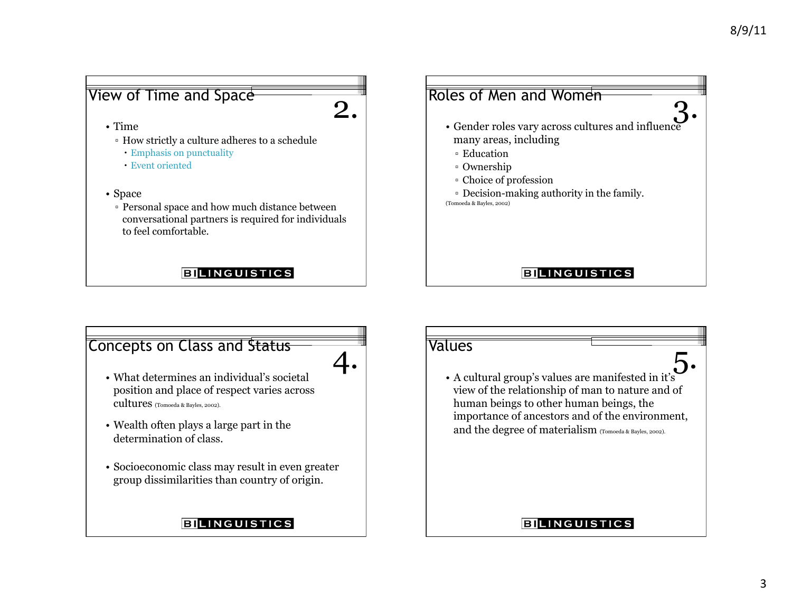# View of Time and Space

2.

- Time
	- ! How strictly a culture adheres to a schedule
		- ! Emphasis on punctuality
	- ! Event oriented
- Space
	- ! Personal space and how much distance between conversational partners is required for individuals to feel comfortable.

#### **BILINGUISTICS**

### Roles of Men and Women

- Gender roles vary across cultures and influence many areas, including 3.
	- Education
	- <sup>o</sup> Ownership
	- ! Choice of profession
- ! Decision-making authority in the family. (Tomoeda & Bayles, 2002)

#### **BILINGUISTICS**

# Concepts on Class and Status



- What determines an individual's societal position and place of respect varies across cultures (Tomoeda & Bayles, 2002).
- Wealth often plays a large part in the determination of class.
- Socioeconomic class may result in even greater group dissimilarities than country of origin.

#### **BILINGUISTICS**

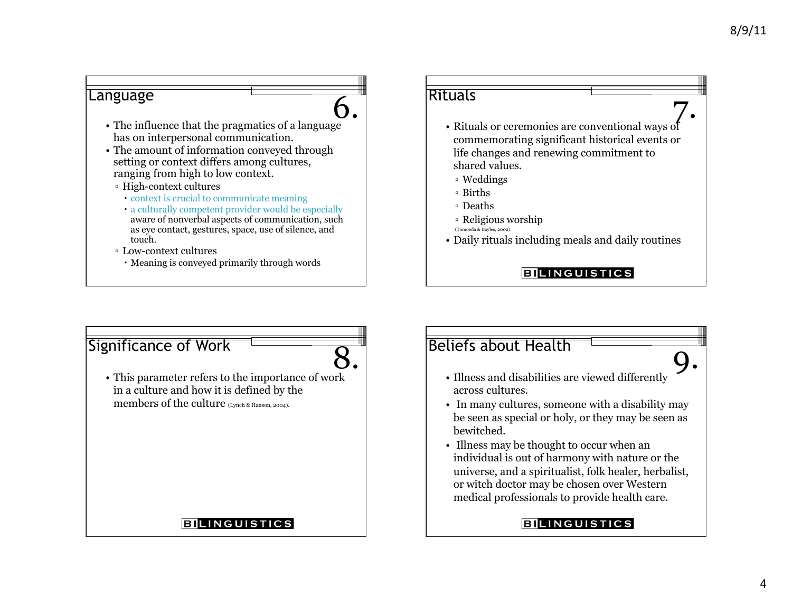

# Significance of Work



**BILINGUISTICS** 

# **8.** Beliefs about Health

- Illness and disabilities are viewed differently across cultures.
- In many cultures, someone with a disability may be seen as special or holy, or they may be seen as bewitched.
- Illness may be thought to occur when an individual is out of harmony with nature or the universe, and a spiritualist, folk healer, herbalist, or witch doctor may be chosen over Western medical professionals to provide health care.

#### **EILINGUISTICS**

9.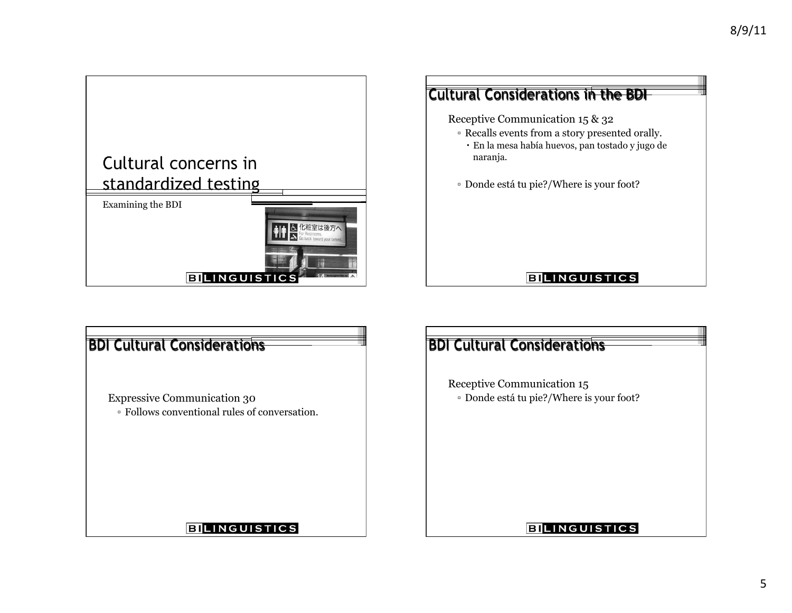

# Cultural Considerations in the BDI Receptive Communication 15 & 32 ! Recalls events from a story presented orally. ! En la mesa había huevos, pan tostado y jugo de naranja. ! Donde está tu pie?/Where is your foot?

| <b>BDI Cultural Considerations</b>                                                  | <b>BDI Cultural Considerations</b>                                   |
|-------------------------------------------------------------------------------------|----------------------------------------------------------------------|
| <b>Expressive Communication 30</b><br>• Follows conventional rules of conversation. | Receptive Communication 15<br>Donde está tu pie?/Where is your foot? |
| <b>BILINGUISTICS</b>                                                                | <b>BILINGUISTICS</b>                                                 |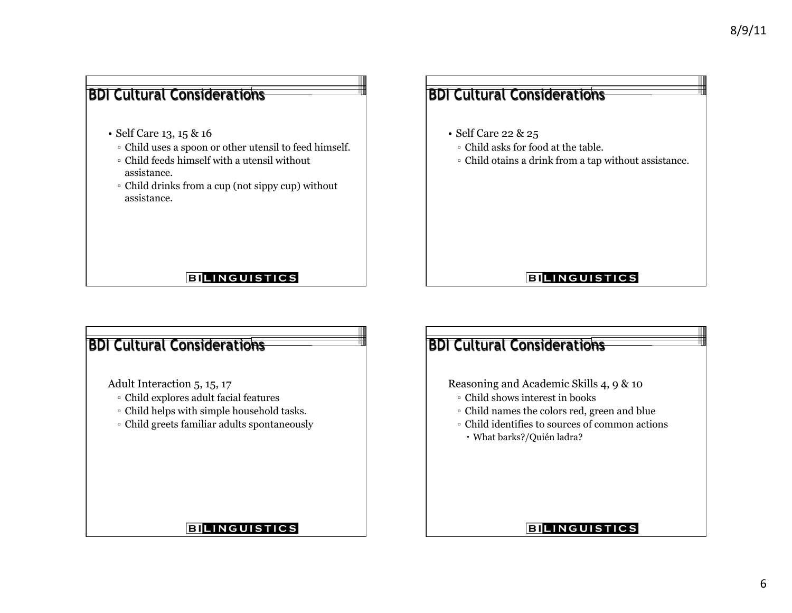# BDI Cultural Considerations BDI Cultural Considerations • Self Care 22 & 25 • Self Care 13, 15 & 16 ! Child uses a spoon or other utensil to feed himself. ! Child asks for food at the table. ! Child feeds himself with a utensil without ! Child otains a drink from a tap without assistance. assistance. ! Child drinks from a cup (not sippy cup) without assistance. **BILINGUISTICS BILINGUISTICS** BDI Cultural Considerations

Adult Interaction 5, 15, 17

- ! Child explores adult facial features
- ! Child helps with simple household tasks.
- ! Child greets familiar adults spontaneously

# BDI Cultural Considerations

Reasoning and Academic Skills 4, 9 & 10

- ! Child shows interest in books
- ! Child names the colors red, green and blue
- ! Child identifies to sources of common actions
- ! What barks?/Quién ladra?

#### **BILINGUISTICS**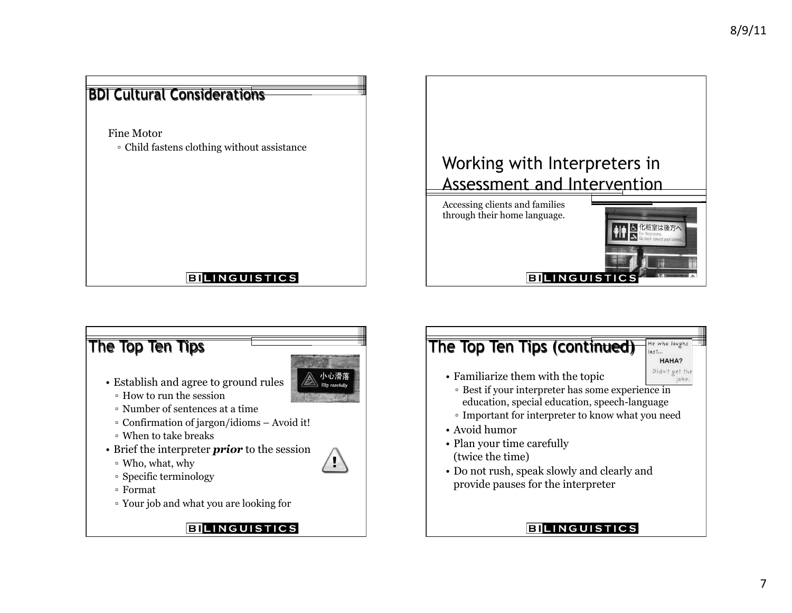





- Establish and agree to ground rules
	- ! How to run the session
	- ! Number of sentences at a time
	- ! Confirmation of jargon/idioms Avoid it!
	- ! When to take breaks
- Brief the interpreter *prior* to the session
	- ! Who, what, why
	- ! Specific terminology
	- ! Format
- ! Your job and what you are looking for





| HAHA?                  |
|------------------------|
| Didn't get th<br>joke. |

- Familiarize them with the topic
	- **Example 15** Best if your interpreter has some experience in education, special education, speech-language
- ! Important for interpreter to know what you need
- Avoid humor
- Plan your time carefully (twice the time)
- Do not rush, speak slowly and clearly and provide pauses for the interpreter

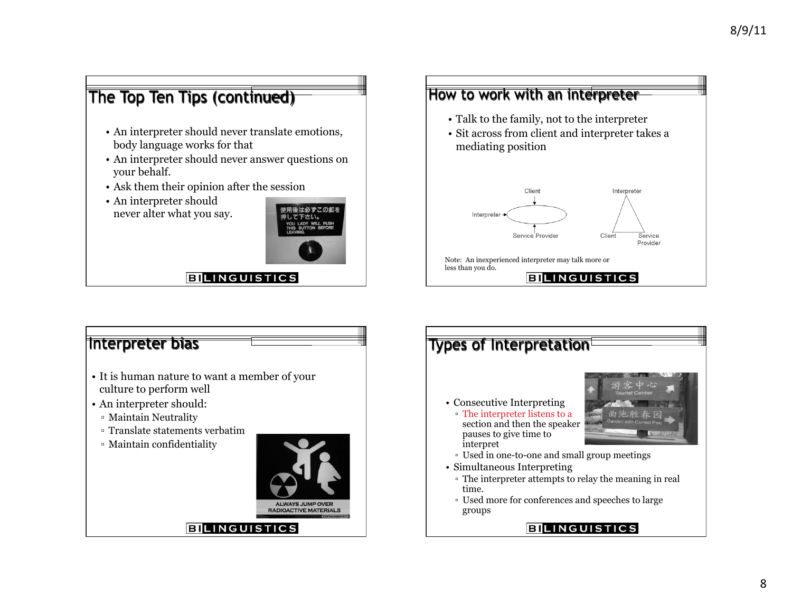